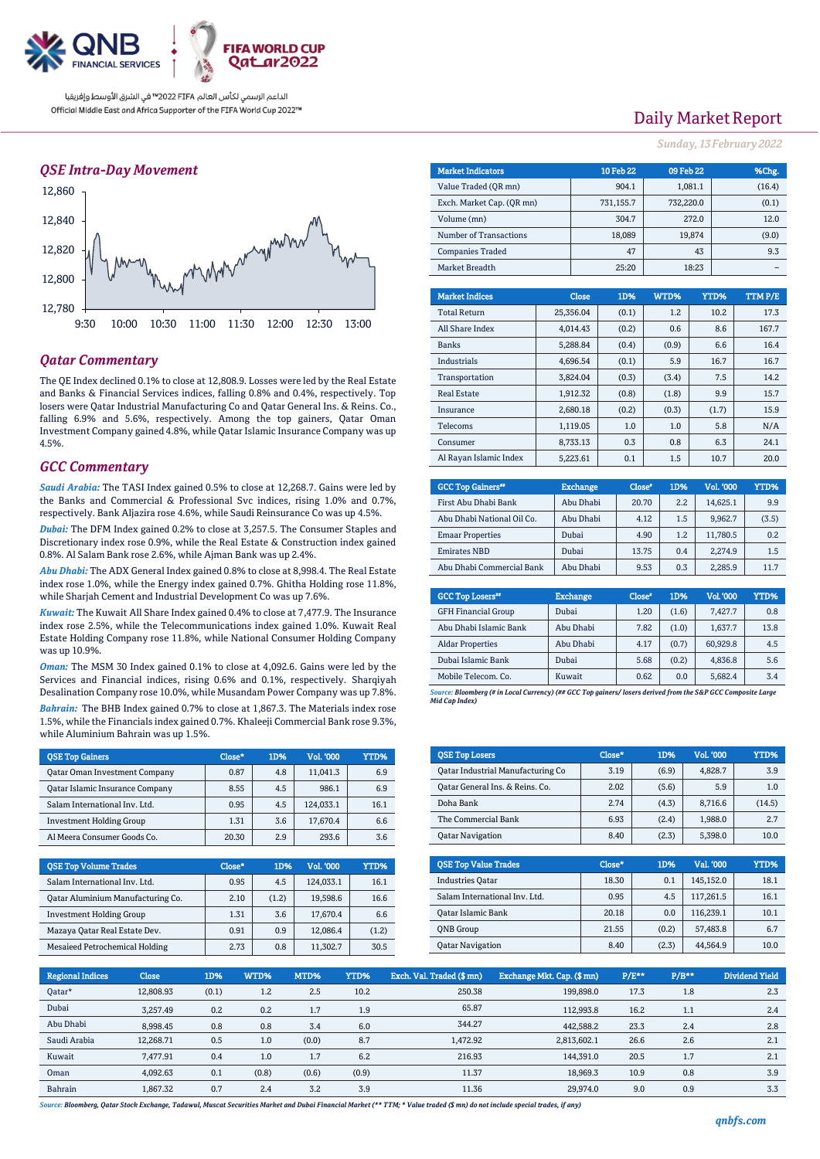

### *QSE Intra-Day Movement*



### *Qatar Commentary*

The QE Index declined 0.1% to close at 12,808.9. Losses were led by the Real Estate and Banks & Financial Services indices, falling 0.8% and 0.4%, respectively. Top losers were Qatar Industrial Manufacturing Co and Qatar General Ins. & Reins. Co., falling 6.9% and 5.6%, respectively. Among the top gainers, Qatar Oman Investment Company gained 4.8%, while Qatar Islamic Insurance Company was up 4.5%.

### *GCC Commentary*

*Saudi Arabia:* The TASI Index gained 0.5% to close at 12,268.7. Gains were led by the Banks and Commercial & Professional Svc indices, rising 1.0% and 0.7%, respectively. Bank Aljazira rose 4.6%, while Saudi Reinsurance Co was up 4.5%.

*Dubai:* The DFM Index gained 0.2% to close at 3,257.5. The Consumer Staples and Discretionary index rose 0.9%, while the Real Estate & Construction index gained 0.8%. Al Salam Bank rose 2.6%, while Ajman Bank was up 2.4%.

*Abu Dhabi:* The ADX General Index gained 0.8% to close at 8,998.4. The Real Estate index rose 1.0%, while the Energy index gained 0.7%. Ghitha Holding rose 11.8%, while Sharjah Cement and Industrial Development Co was up 7.6%.

*Kuwait:* The Kuwait All Share Index gained 0.4% to close at 7,477.9. The Insurance index rose 2.5%, while the Telecommunications index gained 1.0%. Kuwait Real Estate Holding Company rose 11.8%, while National Consumer Holding Company was up 10.9%.

*Oman:* The MSM 30 Index gained 0.1% to close at 4,092.6. Gains were led by the Services and Financial indices, rising 0.6% and 0.1%, respectively. Sharqiyah Desalination Company rose 10.0%, while Musandam Power Company was up 7.8%.

*Bahrain:* The BHB Index gained 0.7% to close at 1,867.3. The Materials index rose 1.5%, while the Financials index gained 0.7%. Khaleeji Commercial Bank rose 9.3%, while Aluminium Bahrain was up 1.5%.

| <b>OSE Top Gainers</b>                 | Close* | 1D% | Vol. '000 | YTD% |
|----------------------------------------|--------|-----|-----------|------|
| <b>Qatar Oman Investment Company</b>   | 0.87   | 4.8 | 11,041.3  | 6.9  |
| <b>Qatar Islamic Insurance Company</b> | 8.55   | 4.5 | 986.1     | 6.9  |
| Salam International Inv. Ltd.          | 0.95   | 4.5 | 124.033.1 | 16.1 |
| <b>Investment Holding Group</b>        | 1.31   | 3.6 | 17.670.4  | 6.6  |
| Al Meera Consumer Goods Co.            | 20.30  | 2.9 | 293.6     | 3.6  |

| <b>QSE Top Volume Trades</b>      | Close* | 1D%   | Vol. '000 | YTD%  |
|-----------------------------------|--------|-------|-----------|-------|
| Salam International Inv. Ltd.     | 0.95   | 4.5   | 124.033.1 | 16.1  |
| Oatar Aluminium Manufacturing Co. | 2.10   | (1.2) | 19,598.6  | 16.6  |
| <b>Investment Holding Group</b>   | 1.31   | 3.6   | 17,670.4  | 6.6   |
| Mazaya Qatar Real Estate Dev.     | 0.91   | 0.9   | 12.086.4  | (1.2) |
| Mesaieed Petrochemical Holding    | 2.73   | 0.8   | 11.302.7  | 30.5  |

# Daily Market Report

*Sunday, 13February 2022*

| <b>Market Indicators</b>  | <b>10 Feb 22</b> | 09 Feb 22 | %Chg.  |
|---------------------------|------------------|-----------|--------|
| Value Traded (OR mn)      | 904.1            | 1,081.1   | (16.4) |
| Exch. Market Cap. (OR mn) | 731,155.7        | 732,220.0 | (0.1)  |
| Volume (mn)               | 304.7            | 272.0     | 12.0   |
| Number of Transactions    | 18,089           | 19,874    | (9.0)  |
| <b>Companies Traded</b>   | 47               | 43        | 9.3    |
| Market Breadth            | 25:20            | 18:23     |        |

| <b>Market Indices</b>  | <b>Close</b> | 1D%   | WTD%  | YTD%  | <b>TTMP/E</b> |
|------------------------|--------------|-------|-------|-------|---------------|
| <b>Total Return</b>    | 25,356.04    | (0.1) | 1.2   | 10.2  | 17.3          |
| All Share Index        | 4.014.43     | (0.2) | 0.6   | 8.6   | 167.7         |
| <b>Banks</b>           | 5,288.84     | (0.4) | (0.9) | 6.6   | 16.4          |
| Industrials            | 4.696.54     | (0.1) | 5.9   | 16.7  | 16.7          |
| Transportation         | 3.824.04     | (0.3) | (3.4) | 7.5   | 14.2          |
| <b>Real Estate</b>     | 1.912.32     | (0.8) | (1.8) | 9.9   | 15.7          |
| Insurance              | 2.680.18     | (0.2) | (0.3) | (1.7) | 15.9          |
| <b>Telecoms</b>        | 1.119.05     | 1.0   | 1.0   | 5.8   | N/A           |
| Consumer               | 8.733.13     | 0.3   | 0.8   | 6.3   | 24.1          |
| Al Rayan Islamic Index | 5.223.61     | 0.1   | 1.5   | 10.7  | 20.0          |

| <b>GCC Top Gainers"</b>    | <b>Exchange</b> | Close* | 1D% | Vol. '000 | YTD%  |
|----------------------------|-----------------|--------|-----|-----------|-------|
| First Abu Dhabi Bank       | Abu Dhabi       | 20.70  | 2.2 | 14.625.1  | 9.9   |
| Abu Dhabi National Oil Co. | Abu Dhabi       | 4.12   | 1.5 | 9.962.7   | (3.5) |
| <b>Emaar Properties</b>    | Dubai           | 4.90   | 1.2 | 11,780.5  | 0.2   |
| <b>Emirates NBD</b>        | Dubai           | 13.75  | 0.4 | 2.274.9   | 1.5   |
| Abu Dhabi Commercial Bank  | Abu Dhabi       | 9.53   | 0.3 | 2,285.9   | 11.7  |

| <b>GCC Top Losers</b> "    | <b>Exchange</b> | Close <sup>®</sup> | 1D%   | Vol. '000 | YTD% |
|----------------------------|-----------------|--------------------|-------|-----------|------|
| <b>GFH Financial Group</b> | Dubai           | 1.20               | (1.6) | 7.427.7   | 0.8  |
| Abu Dhabi Islamic Bank     | Abu Dhabi       | 7.82               | (1.0) | 1,637.7   | 13.8 |
| <b>Aldar Properties</b>    | Abu Dhabi       | 4.17               | (0.7) | 60.929.8  | 4.5  |
| Dubai Islamic Bank         | Dubai           | 5.68               | (0.2) | 4,836.8   | 5.6  |
| Mobile Telecom. Co.        | Kuwait          | 0.62               | 0.0   | 5,682.4   | 3.4  |

*Source: Bloomberg (# in Local Currency) (## GCC Top gainers/ losers derived from the S&P GCC Composite Large Mid Cap Index)*

| <b>OSE Top Losers</b>             | Close* | 1D%   | <b>Vol. '000</b> | <b>YTD%</b> |
|-----------------------------------|--------|-------|------------------|-------------|
| Oatar Industrial Manufacturing Co | 3.19   | (6.9) | 4.828.7          | 3.9         |
| Oatar General Ins. & Reins. Co.   | 2.02   | (5.6) | 5.9              | 1.0         |
| Doha Bank                         | 2.74   | (4.3) | 8.716.6          | (14.5)      |
| The Commercial Bank               | 6.93   | (2.4) | 1.988.0          | 2.7         |
| <b>Oatar Navigation</b>           | 8.40   | (2.3) | 5.398.0          | 10.0        |

| <b>OSE Top Value Trades</b>   | Close* | 1D%   | Val. '000 | YTD% |
|-------------------------------|--------|-------|-----------|------|
| <b>Industries Oatar</b>       | 18.30  | 0.1   | 145.152.0 | 18.1 |
| Salam International Inv. Ltd. | 0.95   | 4.5   | 117.261.5 | 16.1 |
| Qatar Islamic Bank            | 20.18  | 0.0   | 116,239.1 | 10.1 |
| <b>ONB</b> Group              | 21.55  | (0.2) | 57.483.8  | 6.7  |
| <b>Oatar Navigation</b>       | 8.40   | (2.3) | 44.564.9  | 10.0 |

| <b>Regional Indices</b> | <b>Close</b> | 1D%   | WTD%  | MTD%  | <b>YTD%</b> | Exch. Val. Traded (\$mn) | Exchange Mkt. Cap. (\$mn) | $P/E***$ | $P/B**$ | <b>Dividend Yield</b> |
|-------------------------|--------------|-------|-------|-------|-------------|--------------------------|---------------------------|----------|---------|-----------------------|
| Oatar*                  | 12.808.93    | (0.1) | 1.2   | 2.5   | 10.2        | 250.38                   | 199.898.0                 | 17.3     | 1.8     | 2.3                   |
| Dubai                   | 3,257.49     | 0.2   | 0.2   | 1.7   | 1.9         | 65.87                    | 112.993.8                 | 16.2     | 1.1     | 2.4                   |
| Abu Dhabi               | 8,998.45     | 0.8   | 0.8   | 3.4   | 6.0         | 344.27                   | 442.588.2                 | 23.3     | 2.4     | 2.8                   |
| Saudi Arabia            | 12,268.71    | 0.5   | 1.0   | (0.0) | 8.7         | 1.472.92                 | 2,813,602.1               | 26.6     | 2.6     | 2.1                   |
| Kuwait                  | 7.477.91     | 0.4   | 1.0   | 1.7   | 6.2         | 216.93                   | 144.391.0                 | 20.5     | 1.7     | 2.1                   |
| Oman                    | 4.092.63     | 0.1   | (0.8) | (0.6) | (0.9)       | 11.37                    | 18.969.3                  | 10.9     | 0.8     | 3.9                   |
| Bahrain                 | 1.867.32     | 0.7   | 2.4   | 3.2   | 3.9         | 11.36                    | 29.974.0                  | 9.0      | 0.9     | 3.3                   |

*Source: Bloomberg, Qatar Stock Exchange, Tadawul, Muscat Securities Market and Dubai Financial Market (\*\* TTM; \* Value traded (\$ mn) do not include special trades, if any)*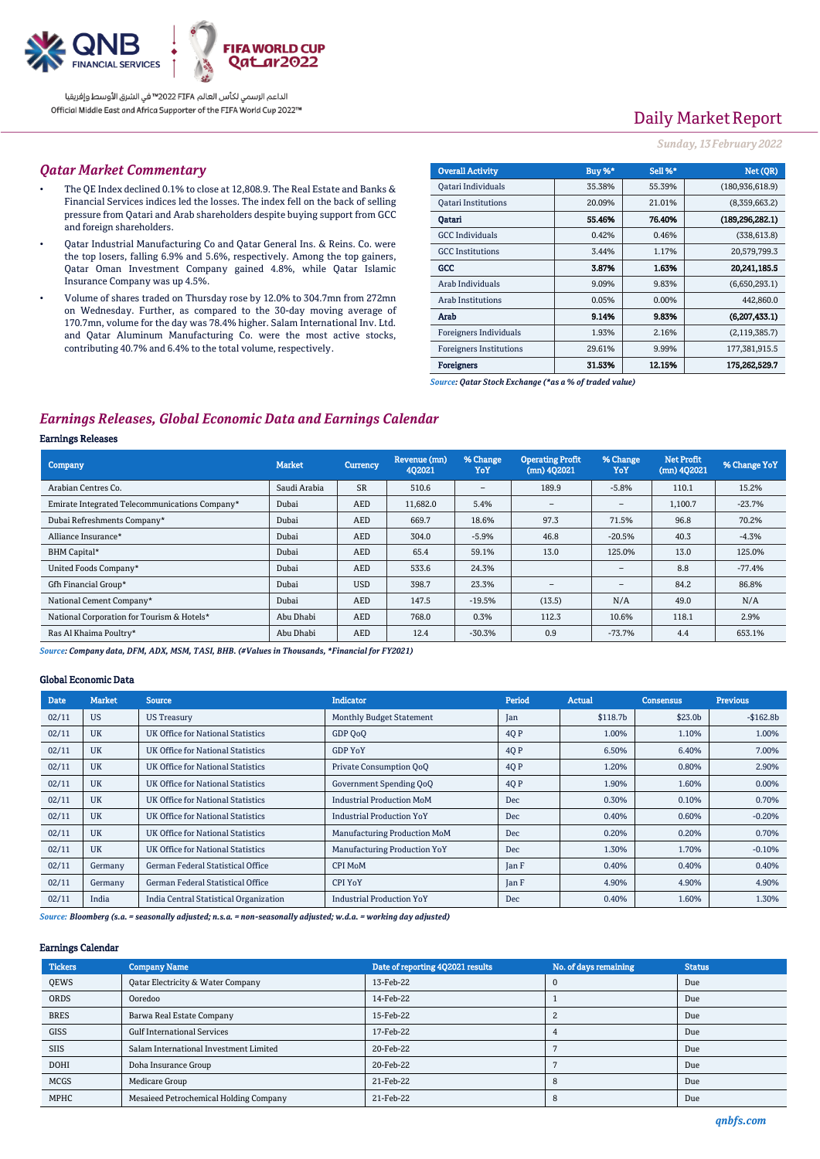

# Daily Market Report

#### *Sunday, 13February 2022*

#### *Qatar Market Commentary*

- The QE Index declined 0.1% to close at 12,808.9. The Real Estate and Banks & Financial Services indices led the losses. The index fell on the back of selling pressure from Qatari and Arab shareholders despite buying support from GCC and foreign shareholders.
- Qatar Industrial Manufacturing Co and Qatar General Ins. & Reins. Co. were the top losers, falling 6.9% and 5.6%, respectively. Among the top gainers, Qatar Oman Investment Company gained 4.8%, while Qatar Islamic Insurance Company was up 4.5%.
- Volume of shares traded on Thursday rose by 12.0% to 304.7mn from 272mn on Wednesday. Further, as compared to the 30-day moving average of 170.7mn, volume for the day was 78.4% higher. Salam International Inv. Ltd. and Qatar Aluminum Manufacturing Co. were the most active stocks, contributing 40.7% and 6.4% to the total volume, respectively.

| <b>Overall Activity</b>        | Buy %* | Sell %* | Net (OR)          |
|--------------------------------|--------|---------|-------------------|
| Qatari Individuals             | 35.38% | 55.39%  | (180, 936, 618.9) |
| <b>Oatari Institutions</b>     | 20.09% | 21.01%  | (8,359,663.2)     |
| Oatari                         | 55.46% | 76.40%  | (189, 296, 282.1) |
| <b>GCC</b> Individuals         | 0.42%  | 0.46%   | (338, 613.8)      |
| <b>GCC</b> Institutions        | 3.44%  | 1.17%   | 20,579,799.3      |
| GCC                            | 3.87%  | 1.63%   | 20.241.185.5      |
| Arab Individuals               | 9.09%  | 9.83%   | (6,650,293.1)     |
| <b>Arab Institutions</b>       | 0.05%  | 0.00%   | 442,860.0         |
| Arab                           | 9.14%  | 9.83%   | (6,207,433.1)     |
| Foreigners Individuals         | 1.93%  | 2.16%   | (2, 119, 385.7)   |
| <b>Foreigners Institutions</b> | 29.61% | 9.99%   | 177,381,915.5     |
| <b>Foreigners</b>              | 31.53% | 12.15%  | 175,262,529.7     |

*Source: Qatar Stock Exchange (\*as a % of traded value)*

## *Earnings Releases, Global Economic Data and Earnings Calendar*

#### Earnings Releases

| Company                                        | <b>Market</b> | Currency   | Revenue (mn)<br>402021 | % Change<br>YoY          | <b>Operating Profit</b><br>$(mn)$ 402021 | % Change<br>YoY          | <b>Net Profit</b><br>(mn) 4Q2021 | % Change YoY |
|------------------------------------------------|---------------|------------|------------------------|--------------------------|------------------------------------------|--------------------------|----------------------------------|--------------|
| Arabian Centres Co.                            | Saudi Arabia  | <b>SR</b>  | 510.6                  | $\overline{\phantom{0}}$ | 189.9                                    | $-5.8%$                  | 110.1                            | 15.2%        |
| Emirate Integrated Telecommunications Company* | Dubai         | <b>AED</b> | 11,682.0               | 5.4%                     | $\qquad \qquad$                          | $\qquad \qquad$          | 1,100.7                          | $-23.7%$     |
| Dubai Refreshments Company*                    | Dubai         | <b>AED</b> | 669.7                  | 18.6%                    | 97.3                                     | 71.5%                    | 96.8                             | 70.2%        |
| Alliance Insurance*                            | Dubai         | <b>AED</b> | 304.0                  | $-5.9%$                  | 46.8                                     | $-20.5%$                 | 40.3                             | $-4.3%$      |
| BHM Capital*                                   | Dubai         | <b>AED</b> | 65.4                   | 59.1%                    | 13.0                                     | 125.0%                   | 13.0                             | 125.0%       |
| United Foods Company*                          | Dubai         | <b>AED</b> | 533.6                  | 24.3%                    |                                          | $\overline{\phantom{a}}$ | 8.8                              | $-77.4%$     |
| Gfh Financial Group*                           | Dubai         | <b>USD</b> | 398.7                  | 23.3%                    | $\overline{\phantom{0}}$                 | $\overline{\phantom{a}}$ | 84.2                             | 86.8%        |
| National Cement Company*                       | Dubai         | <b>AED</b> | 147.5                  | $-19.5%$                 | (13.5)                                   | N/A                      | 49.0                             | N/A          |
| National Corporation for Tourism & Hotels*     | Abu Dhabi     | AED        | 768.0                  | 0.3%                     | 112.3                                    | 10.6%                    | 118.1                            | 2.9%         |
| Ras Al Khaima Poultry*                         | Abu Dhabi     | <b>AED</b> | 12.4                   | $-30.3%$                 | 0.9                                      | $-73.7%$                 | 4.4                              | 653.1%       |

*Source: Company data, DFM, ADX, MSM, TASI, BHB. (#Values in Thousands, \*Financial for FY2021)*

#### Global Economic Data

| <b>Date</b> | <b>Market</b> | <b>Source</b>                            | <b>Indicator</b>                 | Period | <b>Actual</b> | <b>Consensus</b> | <b>Previous</b> |
|-------------|---------------|------------------------------------------|----------------------------------|--------|---------------|------------------|-----------------|
| 02/11       | <b>US</b>     | <b>US Treasury</b>                       | <b>Monthly Budget Statement</b>  | Jan    | \$118.7b      | \$23.0b          | $-$162.8b$      |
| 02/11       | <b>UK</b>     | <b>UK Office for National Statistics</b> | GDP OoO                          | 4Q P   | 1.00%         | 1.10%            | 1.00%           |
| 02/11       | <b>UK</b>     | UK Office for National Statistics        | <b>GDP YoY</b>                   | 4Q P   | 6.50%         | 6.40%            | 7.00%           |
| 02/11       | <b>UK</b>     | UK Office for National Statistics        | Private Consumption QoQ          | 4Q P   | 1.20%         | 0.80%            | 2.90%           |
| 02/11       | <b>UK</b>     | UK Office for National Statistics        | Government Spending QoQ          | 4Q P   | 1.90%         | 1.60%            | 0.00%           |
| 02/11       | <b>UK</b>     | UK Office for National Statistics        | <b>Industrial Production MoM</b> | Dec    | 0.30%         | 0.10%            | 0.70%           |
| 02/11       | <b>UK</b>     | UK Office for National Statistics        | <b>Industrial Production YoY</b> | Dec    | 0.40%         | 0.60%            | $-0.20%$        |
| 02/11       | <b>UK</b>     | UK Office for National Statistics        | Manufacturing Production MoM     | Dec    | 0.20%         | 0.20%            | 0.70%           |
| 02/11       | <b>UK</b>     | UK Office for National Statistics        | Manufacturing Production YoY     | Dec    | 1.30%         | 1.70%            | $-0.10%$        |
| 02/11       | Germany       | German Federal Statistical Office        | <b>CPI MoM</b>                   | Jan F  | 0.40%         | 0.40%            | 0.40%           |
| 02/11       | Germany       | German Federal Statistical Office        | <b>CPI YoY</b>                   | Jan F  | 4.90%         | 4.90%            | 4.90%           |
| 02/11       | India         | India Central Statistical Organization   | <b>Industrial Production YoY</b> | Dec    | 0.40%         | 1.60%            | 1.30%           |

*Source: Bloomberg (s.a. = seasonally adjusted; n.s.a. = non-seasonally adjusted; w.d.a. = working day adjusted)*

#### Earnings Calendar

| <b>Tickers</b> | <b>Company Name</b>                          | Date of reporting 4Q2021 results | No. of days remaining | <b>Status</b> |
|----------------|----------------------------------------------|----------------------------------|-----------------------|---------------|
| <b>OEWS</b>    | <b>Qatar Electricity &amp; Water Company</b> | 13-Feb-22                        |                       | Due           |
| <b>ORDS</b>    | Ooredoo                                      | 14-Feb-22                        |                       | Due           |
| <b>BRES</b>    | Barwa Real Estate Company                    | 15-Feb-22                        |                       | Due           |
| <b>GISS</b>    | <b>Gulf International Services</b>           | 17-Feb-22                        |                       | Due           |
| <b>SIIS</b>    | Salam International Investment Limited       | 20-Feb-22                        |                       | Due           |
| <b>DOHI</b>    | Doha Insurance Group                         | 20-Feb-22                        |                       | Due           |
| <b>MCGS</b>    | Medicare Group                               | 21-Feb-22                        |                       | Due           |
| <b>MPHC</b>    | Mesaieed Petrochemical Holding Company       | 21-Feb-22                        |                       | Due           |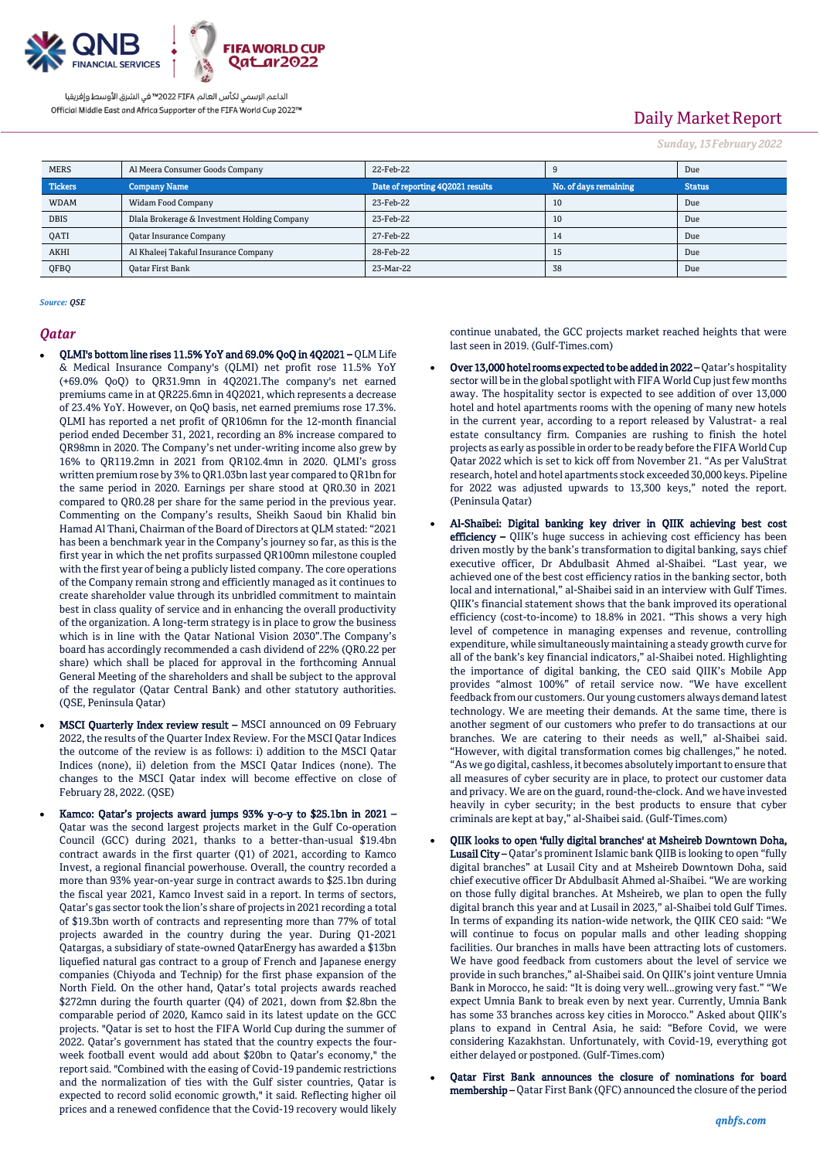

# Daily Market Report

*Sunday, 13February 2022*

| <b>MERS</b>    | Al Meera Consumer Goods Company              | 22-Feb-22                        |                       | Due           |
|----------------|----------------------------------------------|----------------------------------|-----------------------|---------------|
| <b>Tickers</b> | <b>Company Name</b>                          | Date of reporting 4Q2021 results | No. of days remaining | <b>Status</b> |
| <b>WDAM</b>    | Widam Food Company                           | 23-Feb-22                        | 10                    | Due           |
| <b>DBIS</b>    | Dlala Brokerage & Investment Holding Company | 23-Feb-22                        | 10                    | Due           |
| QATI           | <b>Qatar Insurance Company</b>               | 27-Feb-22                        | 14                    | Due           |
| AKHI           | Al Khaleej Takaful Insurance Company         | 28-Feb-22                        | 15                    | Due           |
| QFBQ           | Oatar First Bank                             | 23-Mar-22                        | 38                    | Due           |

*Source: QSE*

#### *Qatar*

- QLMI's bottom line rises 11.5% YoY and 69.0% QoQ in 4Q2021 QLM Life & Medical Insurance Company's (QLMI) net profit rose 11.5% YoY (+69.0% QoQ) to QR31.9mn in 4Q2021.The company's net earned premiums came in at QR225.6mn in 4Q2021, which represents a decrease of 23.4% YoY. However, on QoQ basis, net earned premiums rose 17.3%. QLMI has reported a net profit of QR106mn for the 12-month financial period ended December 31, 2021, recording an 8% increase compared to QR98mn in 2020. The Company's net under-writing income also grew by 16% to QR119.2mn in 2021 from QR102.4mn in 2020. QLMI's gross written premium rose by 3% to QR1.03bn last year compared to QR1bn for the same period in 2020. Earnings per share stood at QR0.30 in 2021 compared to QR0.28 per share for the same period in the previous year. Commenting on the Company's results, Sheikh Saoud bin Khalid bin Hamad Al Thani, Chairman of the Board of Directors at QLM stated: "2021 has been a benchmark year in the Company's journey so far, as this is the first year in which the net profits surpassed QR100mn milestone coupled with the first year of being a publicly listed company. The core operations of the Company remain strong and efficiently managed as it continues to create shareholder value through its unbridled commitment to maintain best in class quality of service and in enhancing the overall productivity of the organization. A long-term strategy is in place to grow the business which is in line with the Qatar National Vision 2030".The Company's board has accordingly recommended a cash dividend of 22% (QR0.22 per share) which shall be placed for approval in the forthcoming Annual General Meeting of the shareholders and shall be subject to the approval of the regulator (Qatar Central Bank) and other statutory authorities. (QSE, Peninsula Qatar)
- MSCI Quarterly Index review result MSCI announced on 09 February 2022, the results of the Quarter Index Review. For the MSCI Qatar Indices the outcome of the review is as follows: i) addition to the MSCI Qatar Indices (none), ii) deletion from the MSCI Qatar Indices (none). The changes to the MSCI Qatar index will become effective on close of February 28, 2022. (QSE)
- Kamco: Qatar's projects award jumps 93% y-o-y to \$25.1bn in 2021 Qatar was the second largest projects market in the Gulf Co-operation Council (GCC) during 2021, thanks to a better-than-usual \$19.4bn contract awards in the first quarter (Q1) of 2021, according to Kamco Invest, a regional financial powerhouse. Overall, the country recorded a more than 93% year-on-year surge in contract awards to \$25.1bn during the fiscal year 2021, Kamco Invest said in a report. In terms of sectors, Qatar's gas sector took the lion's share of projects in 2021 recording a total of \$19.3bn worth of contracts and representing more than 77% of total projects awarded in the country during the year. During Q1-2021 Qatargas, a subsidiary of state-owned QatarEnergy has awarded a \$13bn liquefied natural gas contract to a group of French and Japanese energy companies (Chiyoda and Technip) for the first phase expansion of the North Field. On the other hand, Qatar's total projects awards reached \$272mn during the fourth quarter (Q4) of 2021, down from \$2.8bn the comparable period of 2020, Kamco said in its latest update on the GCC projects. "Qatar is set to host the FIFA World Cup during the summer of 2022. Qatar's government has stated that the country expects the fourweek football event would add about \$20bn to Qatar's economy," the report said. "Combined with the easing of Covid-19 pandemic restrictions and the normalization of ties with the Gulf sister countries, Qatar is expected to record solid economic growth," it said. Reflecting higher oil prices and a renewed confidence that the Covid-19 recovery would likely

continue unabated, the GCC projects market reached heights that were last seen in 2019. (Gulf-Times.com)

- Over 13,000 hotel rooms expected to be added in 2022 Qatar's hospitality sector will be in the global spotlight with FIFA World Cup just few months away. The hospitality sector is expected to see addition of over 13,000 hotel and hotel apartments rooms with the opening of many new hotels in the current year, according to a report released by Valustrat- a real estate consultancy firm. Companies are rushing to finish the hotel projects as early as possible in order to be ready before the FIFA World Cup Qatar 2022 which is set to kick off from November 21. "As per ValuStrat research, hotel and hotel apartments stock exceeded 30,000 keys. Pipeline for 2022 was adjusted upwards to 13,300 keys," noted the report. (Peninsula Qatar)
- Al-Shaibei: Digital banking key driver in QIIK achieving best cost efficiency – QIIK's huge success in achieving cost efficiency has been driven mostly by the bank's transformation to digital banking, says chief executive officer, Dr Abdulbasit Ahmed al-Shaibei. "Last year, we achieved one of the best cost efficiency ratios in the banking sector, both local and international," al-Shaibei said in an interview with Gulf Times. QIIK's financial statement shows that the bank improved its operational efficiency (cost-to-income) to 18.8% in 2021. "This shows a very high level of competence in managing expenses and revenue, controlling expenditure, while simultaneously maintaining a steady growth curve for all of the bank's key financial indicators," al-Shaibei noted. Highlighting the importance of digital banking, the CEO said QIIK's Mobile App provides "almost 100%" of retail service now. "We have excellent feedback from our customers. Our young customers always demand latest technology. We are meeting their demands. At the same time, there is another segment of our customers who prefer to do transactions at our branches. We are catering to their needs as well," al-Shaibei said. "However, with digital transformation comes big challenges," he noted. "As we go digital, cashless, it becomes absolutely important to ensure that all measures of cyber security are in place, to protect our customer data and privacy. We are on the guard, round-the-clock. And we have invested heavily in cyber security; in the best products to ensure that cyber criminals are kept at bay," al-Shaibei said. (Gulf-Times.com)
- QIIK looks to open 'fully digital branches' at Msheireb Downtown Doha, Lusail City – Oatar's prominent Islamic bank QIIB is looking to open "fully digital branches" at Lusail City and at Msheireb Downtown Doha, said chief executive officer Dr Abdulbasit Ahmed al-Shaibei. "We are working on those fully digital branches. At Msheireb, we plan to open the fully digital branch this year and at Lusail in 2023," al-Shaibei told Gulf Times. In terms of expanding its nation-wide network, the QIIK CEO said: "We will continue to focus on popular malls and other leading shopping facilities. Our branches in malls have been attracting lots of customers. We have good feedback from customers about the level of service we provide in such branches," al-Shaibei said. On QIIK's joint venture Umnia Bank in Morocco, he said: "It is doing very well...growing very fast." "We expect Umnia Bank to break even by next year. Currently, Umnia Bank has some 33 branches across key cities in Morocco." Asked about QIIK's plans to expand in Central Asia, he said: "Before Covid, we were considering Kazakhstan. Unfortunately, with Covid-19, everything got either delayed or postponed. (Gulf-Times.com)
- Qatar First Bank announces the closure of nominations for board membership – Qatar First Bank (QFC) announced the closure of the period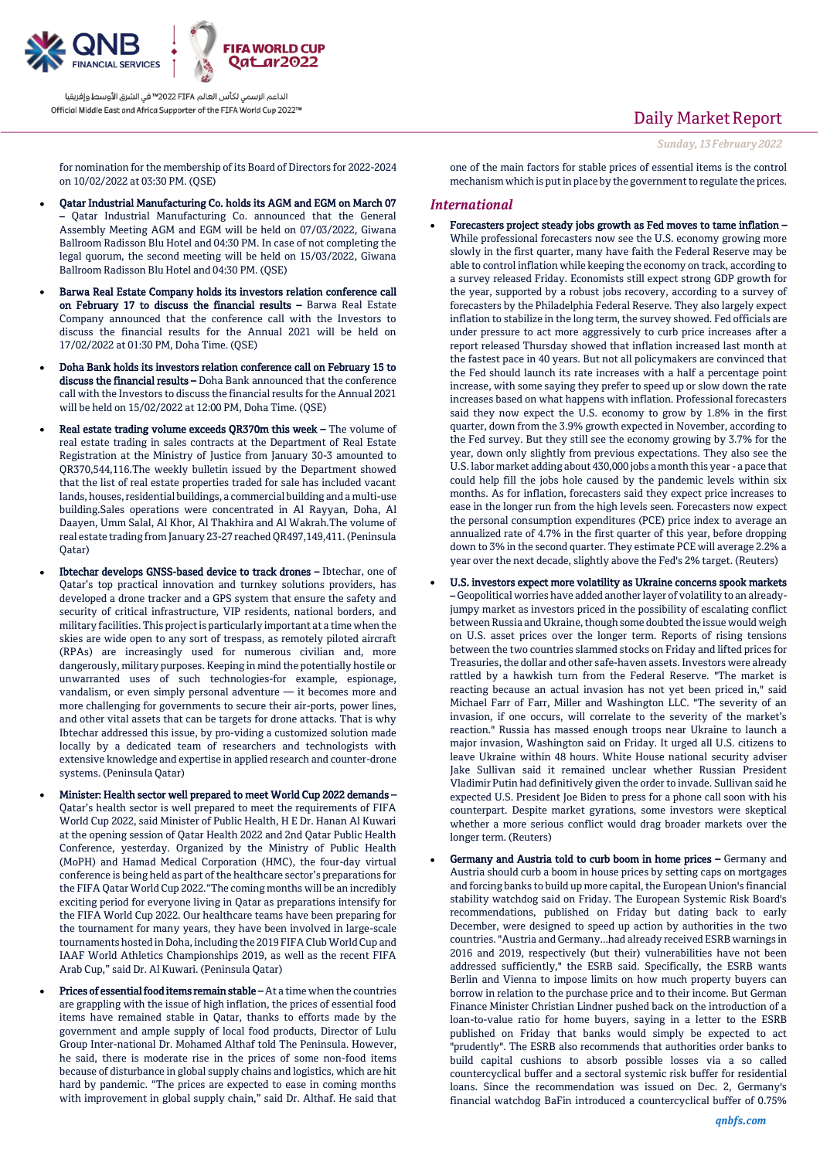

# Daily Market Report

*Sunday, 13February 2022*

for nomination for the membership of its Board of Directors for 2022-2024 on 10/02/2022 at 03:30 PM. (QSE)

- Qatar Industrial Manufacturing Co. holds its AGM and EGM on March 07 – Qatar Industrial Manufacturing Co. announced that the General Assembly Meeting AGM and EGM will be held on 07/03/2022, Giwana Ballroom Radisson Blu Hotel and 04:30 PM. In case of not completing the legal quorum, the second meeting will be held on 15/03/2022, Giwana Ballroom Radisson Blu Hotel and 04:30 PM. (QSE)
- Barwa Real Estate Company holds its investors relation conference call on February 17 to discuss the financial results – Barwa Real Estate Company announced that the conference call with the Investors to discuss the financial results for the Annual 2021 will be held on 17/02/2022 at 01:30 PM, Doha Time. (QSE)
- Doha Bank holds its investors relation conference call on February 15 to discuss the financial results – Doha Bank announced that the conference call with the Investors to discuss the financial results for the Annual 2021 will be held on 15/02/2022 at 12:00 PM, Doha Time. (QSE)
- Real estate trading volume exceeds QR370m this week The volume of real estate trading in sales contracts at the Department of Real Estate Registration at the Ministry of Justice from January 30-3 amounted to QR370,544,116.The weekly bulletin issued by the Department showed that the list of real estate properties traded for sale has included vacant lands, houses, residential buildings, a commercial building and a multi-use building.Sales operations were concentrated in Al Rayyan, Doha, Al Daayen, Umm Salal, Al Khor, Al Thakhira and Al Wakrah.The volume of real estate trading from January 23-27 reached QR497,149,411. (Peninsula Qatar)
- Ibtechar develops GNSS-based device to track drones Ibtechar, one of Qatar's top practical innovation and turnkey solutions providers, has developed a drone tracker and a GPS system that ensure the safety and security of critical infrastructure, VIP residents, national borders, and military facilities. This project is particularly important at a time when the skies are wide open to any sort of trespass, as remotely piloted aircraft (RPAs) are increasingly used for numerous civilian and, more dangerously, military purposes. Keeping in mind the potentially hostile or unwarranted uses of such technologies-for example, espionage, vandalism, or even simply personal adventure — it becomes more and more challenging for governments to secure their air-ports, power lines, and other vital assets that can be targets for drone attacks. That is why Ibtechar addressed this issue, by pro-viding a customized solution made locally by a dedicated team of researchers and technologists with extensive knowledge and expertise in applied research and counter-drone systems. (Peninsula Qatar)
- Minister: Health sector well prepared to meet World Cup 2022 demands Qatar's health sector is well prepared to meet the requirements of FIFA World Cup 2022, said Minister of Public Health, H E Dr. Hanan Al Kuwari at the opening session of Qatar Health 2022 and 2nd Qatar Public Health Conference, yesterday. Organized by the Ministry of Public Health (MoPH) and Hamad Medical Corporation (HMC), the four-day virtual conference is being held as part of the healthcare sector's preparations for the FIFA Qatar World Cup 2022."The coming months will be an incredibly exciting period for everyone living in Qatar as preparations intensify for the FIFA World Cup 2022. Our healthcare teams have been preparing for the tournament for many years, they have been involved in large-scale tournaments hosted in Doha, including the 2019 FIFA Club World Cup and IAAF World Athletics Championships 2019, as well as the recent FIFA Arab Cup," said Dr. Al Kuwari. (Peninsula Qatar)
- Prices of essential food items remain stable At a time when the countries are grappling with the issue of high inflation, the prices of essential food items have remained stable in Qatar, thanks to efforts made by the government and ample supply of local food products, Director of Lulu Group Inter-national Dr. Mohamed Althaf told The Peninsula. However, he said, there is moderate rise in the prices of some non-food items because of disturbance in global supply chains and logistics, which are hit hard by pandemic. "The prices are expected to ease in coming months with improvement in global supply chain," said Dr. Althaf. He said that

one of the main factors for stable prices of essential items is the control mechanism which is put in place by the government to regulate the prices.

### *International*

- Forecasters project steady jobs growth as Fed moves to tame inflation While professional forecasters now see the U.S. economy growing more slowly in the first quarter, many have faith the Federal Reserve may be able to control inflation while keeping the economy on track, according to a survey released Friday. Economists still expect strong GDP growth for the year, supported by a robust jobs recovery, according to a survey of forecasters by the Philadelphia Federal Reserve. They also largely expect inflation to stabilize in the long term, the survey showed. Fed officials are under pressure to act more aggressively to curb price increases after a report released Thursday showed that inflation increased last month at the fastest pace in 40 years. But not all policymakers are convinced that the Fed should launch its rate increases with a half a percentage point increase, with some saying they prefer to speed up or slow down the rate increases based on what happens with inflation. Professional forecasters said they now expect the U.S. economy to grow by 1.8% in the first quarter, down from the 3.9% growth expected in November, according to the Fed survey. But they still see the economy growing by 3.7% for the year, down only slightly from previous expectations. They also see the U.S. labor market adding about 430,000 jobs a month this year - a pace that could help fill the jobs hole caused by the pandemic levels within six months. As for inflation, forecasters said they expect price increases to ease in the longer run from the high levels seen. Forecasters now expect the personal consumption expenditures (PCE) price index to average an annualized rate of 4.7% in the first quarter of this year, before dropping down to 3% in the second quarter. They estimate PCE will average 2.2% a year over the next decade, slightly above the Fed's 2% target. (Reuters)
- U.S. investors expect more volatility as Ukraine concerns spook markets – Geopolitical worries have added another layer of volatility to an alreadyjumpy market as investors priced in the possibility of escalating conflict between Russia and Ukraine, though some doubted the issue would weigh on U.S. asset prices over the longer term. Reports of rising tensions between the two countries slammed stocks on Friday and lifted prices for Treasuries, the dollar and other safe-haven assets. Investors were already rattled by a hawkish turn from the Federal Reserve. "The market is reacting because an actual invasion has not yet been priced in," said Michael Farr of Farr, Miller and Washington LLC. "The severity of an invasion, if one occurs, will correlate to the severity of the market's reaction." Russia has massed enough troops near Ukraine to launch a major invasion, Washington said on Friday. It urged all U.S. citizens to leave Ukraine within 48 hours. White House national security adviser Jake Sullivan said it remained unclear whether Russian President Vladimir Putin had definitively given the order to invade. Sullivan said he expected U.S. President Joe Biden to press for a phone call soon with his counterpart. Despite market gyrations, some investors were skeptical whether a more serious conflict would drag broader markets over the longer term. (Reuters)
- Germany and Austria told to curb boom in home prices Germany and Austria should curb a boom in house prices by setting caps on mortgages and forcing banks to build up more capital, the European Union's financial stability watchdog said on Friday. The European Systemic Risk Board's recommendations, published on Friday but dating back to early December, were designed to speed up action by authorities in the two countries. "Austria and Germany...had already received ESRB warnings in 2016 and 2019, respectively (but their) vulnerabilities have not been addressed sufficiently," the ESRB said. Specifically, the ESRB wants Berlin and Vienna to impose limits on how much property buyers can borrow in relation to the purchase price and to their income. But German Finance Minister Christian Lindner pushed back on the introduction of a loan-to-value ratio for home buyers, saying in a letter to the ESRB published on Friday that banks would simply be expected to act "prudently". The ESRB also recommends that authorities order banks to build capital cushions to absorb possible losses via a so called countercyclical buffer and a sectoral systemic risk buffer for residential loans. Since the recommendation was issued on Dec. 2, Germany's financial watchdog BaFin introduced a countercyclical buffer of 0.75%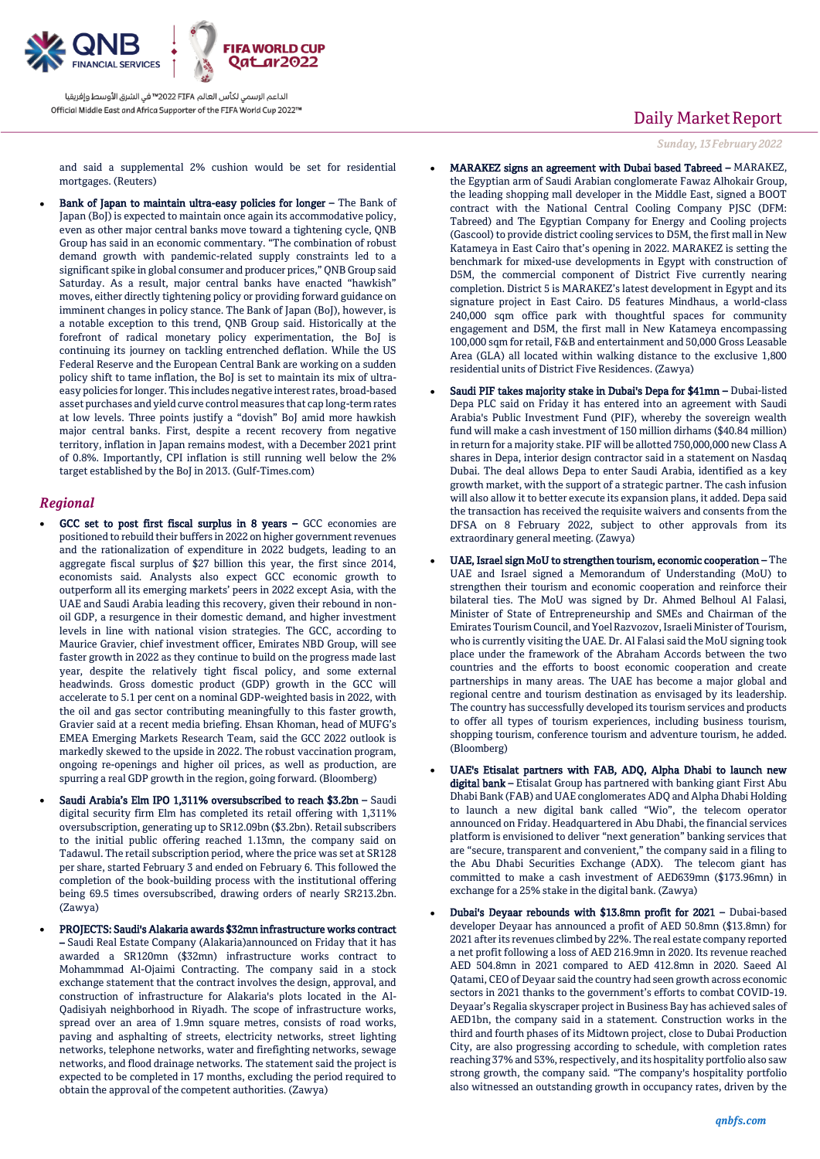

and said a supplemental 2% cushion would be set for residential mortgages. (Reuters)

 Bank of Japan to maintain ultra-easy policies for longer – The Bank of Japan (BoJ) is expected to maintain once again its accommodative policy, even as other major central banks move toward a tightening cycle, QNB Group has said in an economic commentary. "The combination of robust demand growth with pandemic-related supply constraints led to a significant spike in global consumer and producer prices," QNB Group said Saturday. As a result, major central banks have enacted "hawkish" moves, either directly tightening policy or providing forward guidance on imminent changes in policy stance. The Bank of Japan (BoJ), however, is a notable exception to this trend, QNB Group said. Historically at the forefront of radical monetary policy experimentation, the BoJ is continuing its journey on tackling entrenched deflation. While the US Federal Reserve and the European Central Bank are working on a sudden policy shift to tame inflation, the BoJ is set to maintain its mix of ultraeasy policies for longer. This includes negative interest rates, broad-based asset purchases and yield curve control measures that cap long-term rates at low levels. Three points justify a "dovish" BoJ amid more hawkish major central banks. First, despite a recent recovery from negative territory, inflation in Japan remains modest, with a December 2021 print of 0.8%. Importantly, CPI inflation is still running well below the 2% target established by the BoJ in 2013. (Gulf-Times.com)

### *Regional*

- GCC set to post first fiscal surplus in 8 years GCC economies are positioned to rebuild their buffers in 2022 on higher government revenues and the rationalization of expenditure in 2022 budgets, leading to an aggregate fiscal surplus of \$27 billion this year, the first since 2014, economists said. Analysts also expect GCC economic growth to outperform all its emerging markets' peers in 2022 except Asia, with the UAE and Saudi Arabia leading this recovery, given their rebound in nonoil GDP, a resurgence in their domestic demand, and higher investment levels in line with national vision strategies. The GCC, according to Maurice Gravier, chief investment officer, Emirates NBD Group, will see faster growth in 2022 as they continue to build on the progress made last year, despite the relatively tight fiscal policy, and some external headwinds. Gross domestic product (GDP) growth in the GCC will accelerate to 5.1 per cent on a nominal GDP-weighted basis in 2022, with the oil and gas sector contributing meaningfully to this faster growth, Gravier said at a recent media briefing. Ehsan Khoman, head of MUFG's EMEA Emerging Markets Research Team, said the GCC 2022 outlook is markedly skewed to the upside in 2022. The robust vaccination program, ongoing re-openings and higher oil prices, as well as production, are spurring a real GDP growth in the region, going forward. (Bloomberg)
- Saudi Arabia's Elm IPO 1,311% oversubscribed to reach \$3.2bn Saudi digital security firm Elm has completed its retail offering with 1,311% oversubscription, generating up to SR12.09bn (\$3.2bn). Retail subscribers to the initial public offering reached 1.13mn, the company said on Tadawul. The retail subscription period, where the price was set at SR128 per share, started February 3 and ended on February 6. This followed the completion of the book-building process with the institutional offering being 69.5 times oversubscribed, drawing orders of nearly SR213.2bn. (Zawya)
- PROJECTS: Saudi's Alakaria awards \$32mn infrastructure works contract – Saudi Real Estate Company (Alakaria)announced on Friday that it has awarded a SR120mn (\$32mn) infrastructure works contract to Mohammmad Al-Ojaimi Contracting. The company said in a stock exchange statement that the contract involves the design, approval, and construction of infrastructure for Alakaria's plots located in the Al-Qadisiyah neighborhood in Riyadh. The scope of infrastructure works, spread over an area of 1.9mn square metres, consists of road works, paving and asphalting of streets, electricity networks, street lighting networks, telephone networks, water and firefighting networks, sewage networks, and flood drainage networks. The statement said the project is expected to be completed in 17 months, excluding the period required to obtain the approval of the competent authorities. (Zawya)

# Daily Market Report

*Sunday, 13February 2022*

- MARAKEZ signs an agreement with Dubai based Tabreed MARAKEZ, the Egyptian arm of Saudi Arabian conglomerate Fawaz Alhokair Group, the leading shopping mall developer in the Middle East, signed a BOOT contract with the National Central Cooling Company PJSC (DFM: Tabreed) and The Egyptian Company for Energy and Cooling projects (Gascool) to provide district cooling services to D5M, the first mall in New Katameya in East Cairo that's opening in 2022. MARAKEZ is setting the benchmark for mixed-use developments in Egypt with construction of D5M, the commercial component of District Five currently nearing completion. District 5 is MARAKEZ's latest development in Egypt and its signature project in East Cairo. D5 features Mindhaus, a world-class 240,000 sqm office park with thoughtful spaces for community engagement and D5M, the first mall in New Katameya encompassing 100,000 sqm for retail, F&B and entertainment and 50,000 Gross Leasable Area (GLA) all located within walking distance to the exclusive 1,800 residential units of District Five Residences. (Zawya)
- Saudi PIF takes majority stake in Dubai's Depa for \$41mn Dubai-listed Depa PLC said on Friday it has entered into an agreement with Saudi Arabia's Public Investment Fund (PIF), whereby the sovereign wealth fund will make a cash investment of 150 million dirhams (\$40.84 million) in return for a majority stake. PIF will be allotted 750,000,000 new Class A shares in Depa, interior design contractor said in a statement on Nasdaq Dubai. The deal allows Depa to enter Saudi Arabia, identified as a key growth market, with the support of a strategic partner. The cash infusion will also allow it to better execute its expansion plans, it added. Depa said the transaction has received the requisite waivers and consents from the DFSA on 8 February 2022, subject to other approvals from its extraordinary general meeting. (Zawya)
- UAE, Israel sign MoU to strengthen tourism, economic cooperation The UAE and Israel signed a Memorandum of Understanding (MoU) to strengthen their tourism and economic cooperation and reinforce their bilateral ties. The MoU was signed by Dr. Ahmed Belhoul Al Falasi, Minister of State of Entrepreneurship and SMEs and Chairman of the Emirates Tourism Council, and Yoel Razvozov, Israeli Minister of Tourism, who is currently visiting the UAE. Dr. Al Falasi said the MoU signing took place under the framework of the Abraham Accords between the two countries and the efforts to boost economic cooperation and create partnerships in many areas. The UAE has become a major global and regional centre and tourism destination as envisaged by its leadership. The country has successfully developed its tourism services and products to offer all types of tourism experiences, including business tourism, shopping tourism, conference tourism and adventure tourism, he added. (Bloomberg)
- UAE's Etisalat partners with FAB, ADQ, Alpha Dhabi to launch new digital bank - Etisalat Group has partnered with banking giant First Abu Dhabi Bank (FAB) and UAE conglomerates ADQ and Alpha Dhabi Holding to launch a new digital bank called "Wio", the telecom operator announced on Friday. Headquartered in Abu Dhabi, the financial services platform is envisioned to deliver "next generation" banking services that are "secure, transparent and convenient," the company said in a filing to the Abu Dhabi Securities Exchange (ADX). The telecom giant has committed to make a cash investment of AED639mn (\$173.96mn) in exchange for a 25% stake in the digital bank. (Zawya)
- Dubai's Deyaar rebounds with \$13.8mn profit for 2021 Dubai-based developer Deyaar has announced a profit of AED 50.8mn (\$13.8mn) for 2021 after its revenues climbed by 22%. The real estate company reported a net profit following a loss of AED 216.9mn in 2020. Its revenue reached AED 504.8mn in 2021 compared to AED 412.8mn in 2020. Saeed Al Qatami, CEO of Deyaar said the country had seen growth across economic sectors in 2021 thanks to the government's efforts to combat COVID-19. Deyaar's Regalia skyscraper project in Business Bay has achieved sales of AED1bn, the company said in a statement. Construction works in the third and fourth phases of its Midtown project, close to Dubai Production City, are also progressing according to schedule, with completion rates reaching 37% and 53%, respectively, and its hospitality portfolio also saw strong growth, the company said. "The company's hospitality portfolio also witnessed an outstanding growth in occupancy rates, driven by the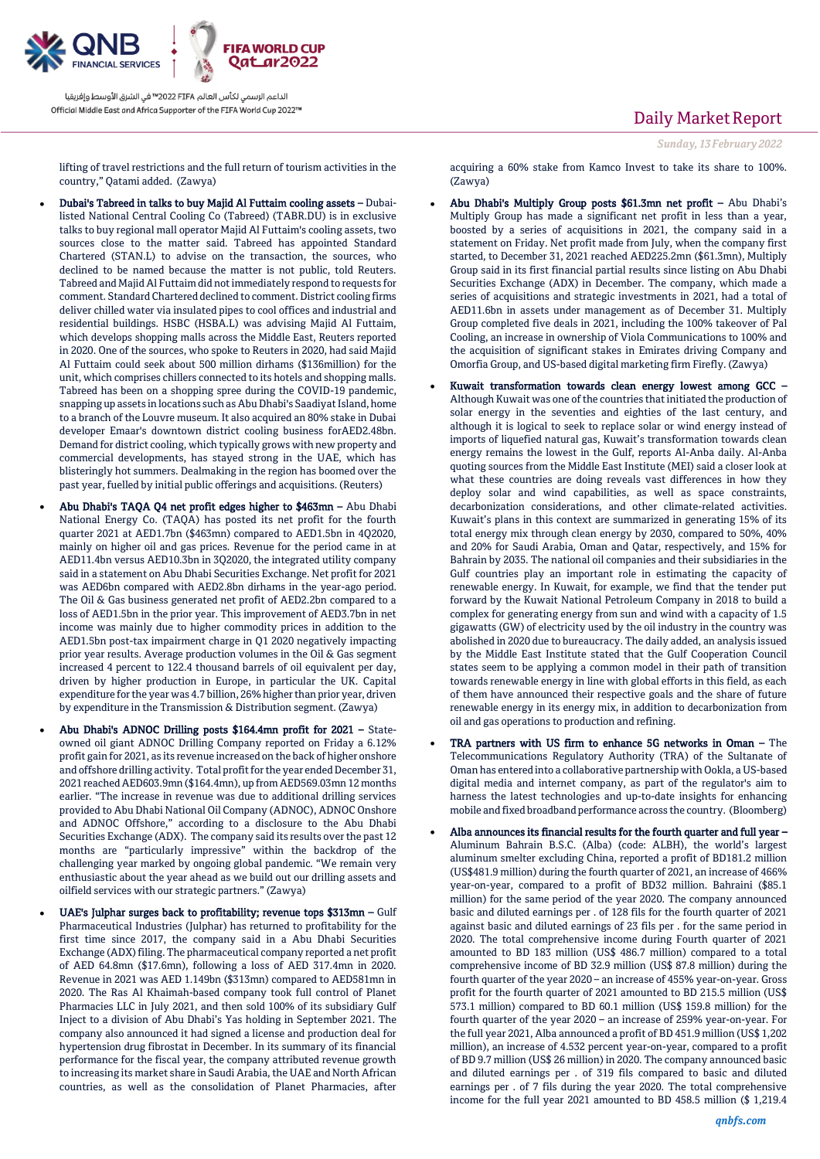

lifting of travel restrictions and the full return of tourism activities in the country," Qatami added. (Zawya)

- Dubai's Tabreed in talks to buy Majid Al Futtaim cooling assets Dubailisted National Central Cooling Co (Tabreed) (TABR.DU) is in exclusive talks to buy regional mall operator Majid Al Futtaim's cooling assets, two sources close to the matter said. Tabreed has appointed Standard Chartered (STAN.L) to advise on the transaction, the sources, who declined to be named because the matter is not public, told Reuters. Tabreed and Majid Al Futtaim did not immediately respond to requests for comment. Standard Chartered declined to comment. District cooling firms deliver chilled water via insulated pipes to cool offices and industrial and residential buildings. HSBC (HSBA.L) was advising Majid Al Futtaim, which develops shopping malls across the Middle East, Reuters reported in 2020. One of the sources, who spoke to Reuters in 2020, had said Majid Al Futtaim could seek about 500 million dirhams (\$136million) for the unit, which comprises chillers connected to its hotels and shopping malls. Tabreed has been on a shopping spree during the COVID-19 pandemic, snapping up assets in locations such as Abu Dhabi's Saadiyat Island, home to a branch of the Louvre museum. It also acquired an 80% stake in Dubai developer Emaar's downtown district cooling business forAED2.48bn. Demand for district cooling, which typically grows with new property and commercial developments, has stayed strong in the UAE, which has blisteringly hot summers. Dealmaking in the region has boomed over the past year, fuelled by initial public offerings and acquisitions. (Reuters)
- Abu Dhabi's TAQA Q4 net profit edges higher to \$463mn Abu Dhabi National Energy Co. (TAQA) has posted its net profit for the fourth quarter 2021 at AED1.7bn (\$463mn) compared to AED1.5bn in 4Q2020, mainly on higher oil and gas prices. Revenue for the period came in at AED11.4bn versus AED10.3bn in 3Q2020, the integrated utility company said in a statement on Abu Dhabi Securities Exchange. Net profit for 2021 was AED6bn compared with AED2.8bn dirhams in the year-ago period. The Oil & Gas business generated net profit of AED2.2bn compared to a loss of AED1.5bn in the prior year. This improvement of AED3.7bn in net income was mainly due to higher commodity prices in addition to the AED1.5bn post-tax impairment charge in Q1 2020 negatively impacting prior year results. Average production volumes in the Oil & Gas segment increased 4 percent to 122.4 thousand barrels of oil equivalent per day, driven by higher production in Europe, in particular the UK. Capital expenditure for the year was 4.7 billion, 26% higher than prior year, driven by expenditure in the Transmission & Distribution segment. (Zawya)
- Abu Dhabi's ADNOC Drilling posts \$164.4mn profit for 2021 Stateowned oil giant ADNOC Drilling Company reported on Friday a 6.12% profit gain for 2021, as its revenue increased on the back of higher onshore and offshore drilling activity. Total profit for the year ended December 31, 2021 reached AED603.9mn (\$164.4mn), up from AED569.03mn 12 months earlier. "The increase in revenue was due to additional drilling services provided to Abu Dhabi National Oil Company (ADNOC), ADNOC Onshore and ADNOC Offshore," according to a disclosure to the Abu Dhabi Securities Exchange (ADX). The company said its results over the past 12 months are "particularly impressive" within the backdrop of the challenging year marked by ongoing global pandemic. "We remain very enthusiastic about the year ahead as we build out our drilling assets and oilfield services with our strategic partners." (Zawya)
- UAE's Julphar surges back to profitability; revenue tops \$313mn Gulf Pharmaceutical Industries (Julphar) has returned to profitability for the first time since 2017, the company said in a Abu Dhabi Securities Exchange (ADX) filing. The pharmaceutical company reported a net profit of AED 64.8mn (\$17.6mn), following a loss of AED 317.4mn in 2020. Revenue in 2021 was AED 1.149bn (\$313mn) compared to AED581mn in 2020. The Ras Al Khaimah-based company took full control of Planet Pharmacies LLC in July 2021, and then sold 100% of its subsidiary Gulf Inject to a division of Abu Dhabi's Yas holding in September 2021. The company also announced it had signed a license and production deal for hypertension drug fibrostat in December. In its summary of its financial performance for the fiscal year, the company attributed revenue growth to increasing its market share in Saudi Arabia, the UAE and North African countries, as well as the consolidation of Planet Pharmacies, after

## Daily Market Report

*Sunday, 13February 2022*

acquiring a 60% stake from Kamco Invest to take its share to 100%. (Zawya)

- Abu Dhabi's Multiply Group posts \$61.3mn net profit Abu Dhabi's Multiply Group has made a significant net profit in less than a year, boosted by a series of acquisitions in 2021, the company said in a statement on Friday. Net profit made from July, when the company first started, to December 31, 2021 reached AED225.2mn (\$61.3mn), Multiply Group said in its first financial partial results since listing on Abu Dhabi Securities Exchange (ADX) in December. The company, which made a series of acquisitions and strategic investments in 2021, had a total of AED11.6bn in assets under management as of December 31. Multiply Group completed five deals in 2021, including the 100% takeover of Pal Cooling, an increase in ownership of Viola Communications to 100% and the acquisition of significant stakes in Emirates driving Company and Omorfia Group, and US-based digital marketing firm Firefly. (Zawya)
- Kuwait transformation towards clean energy lowest among GCC Although Kuwait was one of the countries that initiated the production of solar energy in the seventies and eighties of the last century, and although it is logical to seek to replace solar or wind energy instead of imports of liquefied natural gas, Kuwait's transformation towards clean energy remains the lowest in the Gulf, reports Al-Anba daily. Al-Anba quoting sources from the Middle East Institute (MEI) said a closer look at what these countries are doing reveals vast differences in how they deploy solar and wind capabilities, as well as space constraints, decarbonization considerations, and other climate-related activities. Kuwait's plans in this context are summarized in generating 15% of its total energy mix through clean energy by 2030, compared to 50%, 40% and 20% for Saudi Arabia, Oman and Qatar, respectively, and 15% for Bahrain by 2035. The national oil companies and their subsidiaries in the Gulf countries play an important role in estimating the capacity of renewable energy. In Kuwait, for example, we find that the tender put forward by the Kuwait National Petroleum Company in 2018 to build a complex for generating energy from sun and wind with a capacity of 1.5 gigawatts (GW) of electricity used by the oil industry in the country was abolished in 2020 due to bureaucracy. The daily added, an analysis issued by the Middle East Institute stated that the Gulf Cooperation Council states seem to be applying a common model in their path of transition towards renewable energy in line with global efforts in this field, as each of them have announced their respective goals and the share of future renewable energy in its energy mix, in addition to decarbonization from oil and gas operations to production and refining.
- TRA partners with US firm to enhance 5G networks in Oman The Telecommunications Regulatory Authority (TRA) of the Sultanate of Oman has entered into a collaborative partnership with Ookla, a US-based digital media and internet company, as part of the regulator's aim to harness the latest technologies and up-to-date insights for enhancing mobile and fixed broadband performance across the country. (Bloomberg)
- Alba announces its financial results for the fourth quarter and full year Aluminum Bahrain B.S.C. (Alba) (code: ALBH), the world's largest aluminum smelter excluding China, reported a profit of BD181.2 million (US\$481.9 million) during the fourth quarter of 2021, an increase of 466% year-on-year, compared to a profit of BD32 million. Bahraini (\$85.1 million) for the same period of the year 2020. The company announced basic and diluted earnings per . of 128 fils for the fourth quarter of 2021 against basic and diluted earnings of 23 fils per . for the same period in 2020. The total comprehensive income during Fourth quarter of 2021 amounted to BD 183 million (US\$ 486.7 million) compared to a total comprehensive income of BD 32.9 million (US\$ 87.8 million) during the fourth quarter of the year 2020 – an increase of 455% year-on-year. Gross profit for the fourth quarter of 2021 amounted to BD 215.5 million (US\$ 573.1 million) compared to BD 60.1 million (US\$ 159.8 million) for the fourth quarter of the year 2020 – an increase of 259% year-on-year. For the full year 2021, Alba announced a profit of BD 451.9 million (US\$ 1,202 million), an increase of 4.532 percent year-on-year, compared to a profit of BD 9.7 million (US\$ 26 million) in 2020. The company announced basic and diluted earnings per . of 319 fils compared to basic and diluted earnings per . of 7 fils during the year 2020. The total comprehensive income for the full year 2021 amounted to BD 458.5 million (\$ 1,219.4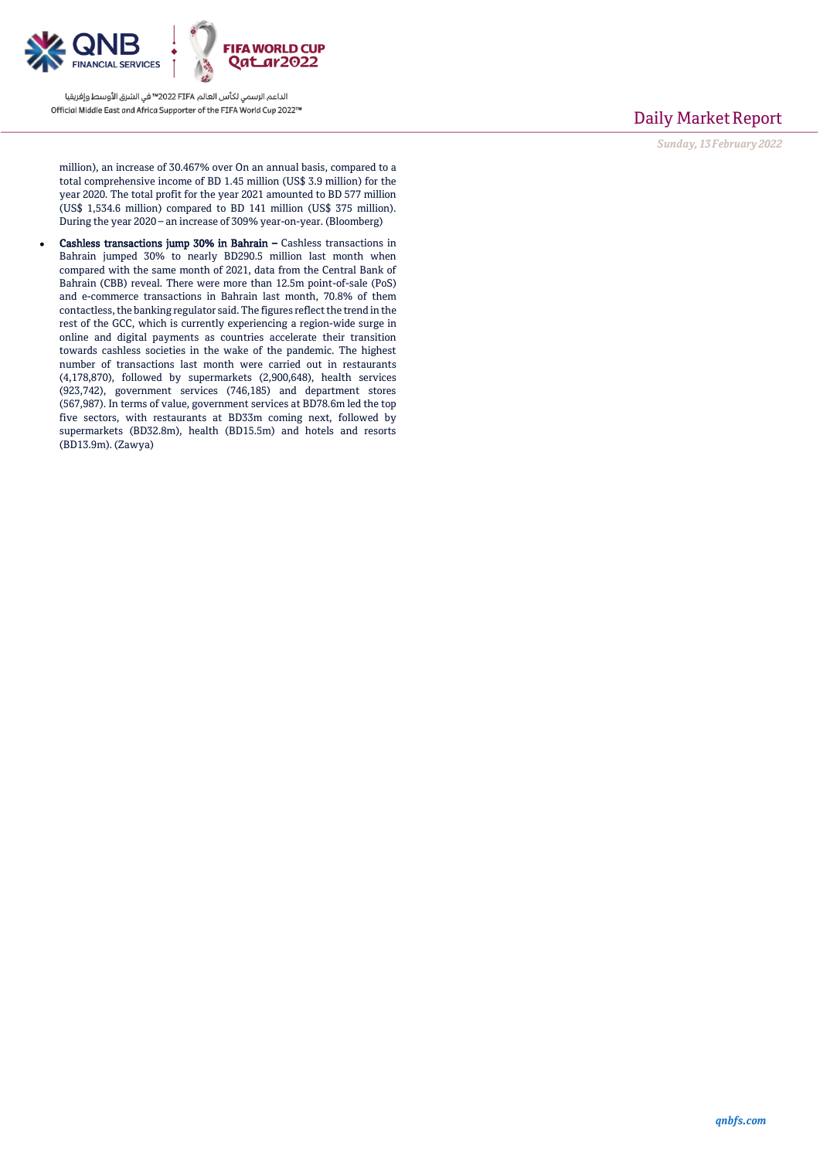

## Daily Market Report

*Sunday, 13February 2022*

million), an increase of 30.467% over On an annual basis, compared to a total comprehensive income of BD 1.45 million (US\$ 3.9 million) for the year 2020. The total profit for the year 2021 amounted to BD 577 million (US\$ 1,534.6 million) compared to BD 141 million (US\$ 375 million). During the year 2020 – an increase of 309% year-on-year. (Bloomberg)

 Cashless transactions jump 30% in Bahrain – Cashless transactions in Bahrain jumped 30% to nearly BD290.5 million last month when compared with the same month of 2021, data from the Central Bank of Bahrain (CBB) reveal. There were more than 12.5m point-of-sale (PoS) and e-commerce transactions in Bahrain last month, 70.8% of them contactless, the banking regulator said. The figures reflect the trend in the rest of the GCC, which is currently experiencing a region-wide surge in online and digital payments as countries accelerate their transition towards cashless societies in the wake of the pandemic. The highest number of transactions last month were carried out in restaurants (4,178,870), followed by supermarkets (2,900,648), health services (923,742), government services (746,185) and department stores (567,987). In terms of value, government services at BD78.6m led the top five sectors, with restaurants at BD33m coming next, followed by supermarkets (BD32.8m), health (BD15.5m) and hotels and resorts (BD13.9m). (Zawya)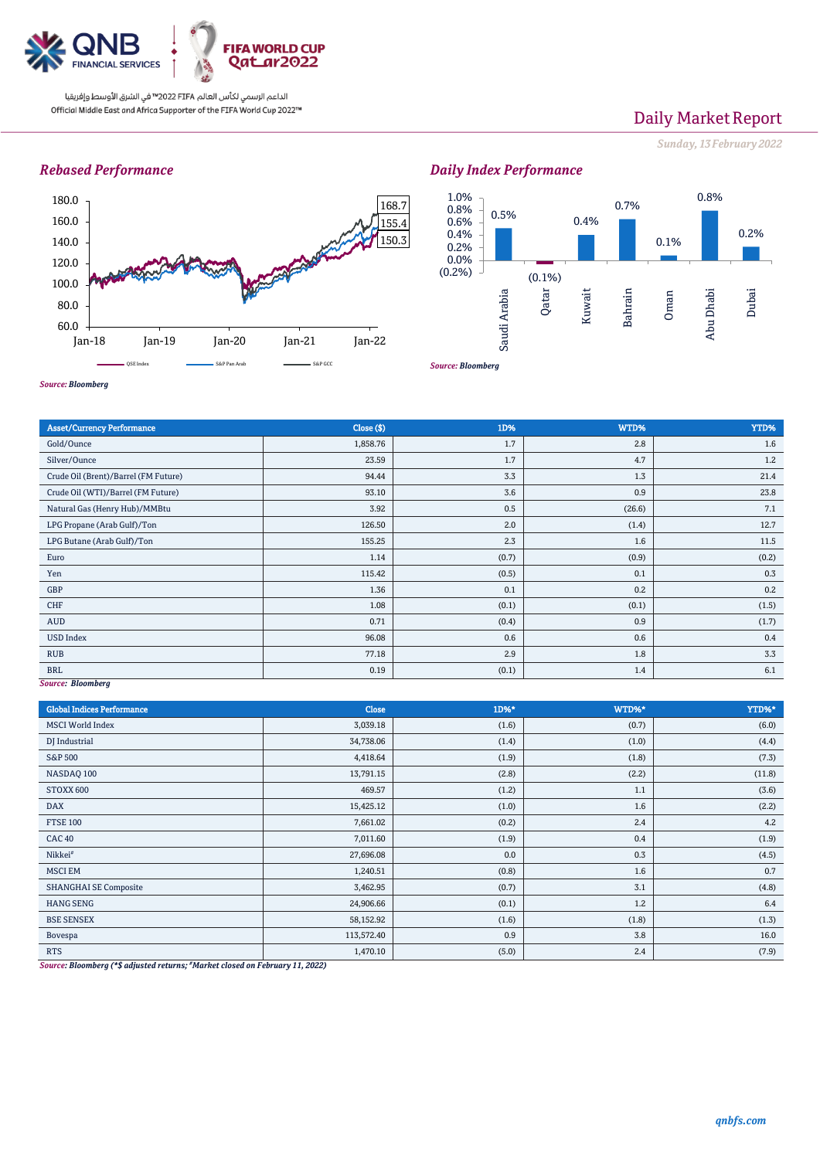

# Daily Market Report

*Sunday, 13February 2022*

## *Rebased Performance*





*Source: Bloomberg*

| <b>Asset/Currency Performance</b>    | Close ( \$) | 1D%   | WTD%   | YTD%  |
|--------------------------------------|-------------|-------|--------|-------|
| Gold/Ounce                           | 1,858.76    | 1.7   | 2.8    | 1.6   |
| Silver/Ounce                         | 23.59       | 1.7   | 4.7    | 1.2   |
| Crude Oil (Brent)/Barrel (FM Future) | 94.44       | 3.3   | 1.3    | 21.4  |
| Crude Oil (WTI)/Barrel (FM Future)   | 93.10       | 3.6   | 0.9    | 23.8  |
| Natural Gas (Henry Hub)/MMBtu        | 3.92        | 0.5   | (26.6) | 7.1   |
| LPG Propane (Arab Gulf)/Ton          | 126.50      | 2.0   | (1.4)  | 12.7  |
| LPG Butane (Arab Gulf)/Ton           | 155.25      | 2.3   | 1.6    | 11.5  |
| Euro                                 | 1.14        | (0.7) | (0.9)  | (0.2) |
| Yen                                  | 115.42      | (0.5) | 0.1    | 0.3   |
| GBP                                  | 1.36        | 0.1   | 0.2    | 0.2   |
| CHF                                  | 1.08        | (0.1) | (0.1)  | (1.5) |
| <b>AUD</b>                           | 0.71        | (0.4) | 0.9    | (1.7) |
| <b>USD Index</b>                     | 96.08       | 0.6   | 0.6    | 0.4   |
| <b>RUB</b>                           | 77.18       | 2.9   | 1.8    | 3.3   |
| <b>BRL</b>                           | 0.19        | (0.1) | 1.4    | 6.1   |
| Source: Bloomberg                    |             |       |        |       |

*Source: Bloomberg*

*Source: Bloomberg*

| <b>Global Indices Performance</b>                                  | Close                        | 1D%*  | WTD%* | YTD%*  |
|--------------------------------------------------------------------|------------------------------|-------|-------|--------|
| <b>MSCI World Index</b>                                            | 3,039.18                     | (1.6) | (0.7) | (6.0)  |
| DJ Industrial                                                      | 34,738.06                    | (1.4) | (1.0) | (4.4)  |
| S&P 500                                                            | 4,418.64                     | (1.9) | (1.8) | (7.3)  |
| NASDAQ 100                                                         | 13,791.15                    | (2.8) | (2.2) | (11.8) |
| STOXX 600                                                          | 469.57                       | (1.2) | 1.1   | (3.6)  |
| <b>DAX</b>                                                         | 15,425.12                    | (1.0) | 1.6   | (2.2)  |
| <b>FTSE 100</b>                                                    | 7,661.02                     | (0.2) | 2.4   | 4.2    |
| CAC <sub>40</sub>                                                  | 7,011.60                     | (1.9) | 0.4   | (1.9)  |
| Nikkei <sup>#</sup>                                                | 27,696.08                    | 0.0   | 0.3   | (4.5)  |
| <b>MSCI EM</b>                                                     | 1,240.51                     | (0.8) | 1.6   | 0.7    |
| <b>SHANGHAI SE Composite</b>                                       | 3,462.95                     | (0.7) | 3.1   | (4.8)  |
| <b>HANG SENG</b>                                                   | 24,906.66                    | (0.1) | 1.2   | 6.4    |
| <b>BSE SENSEX</b>                                                  | 58,152.92                    | (1.6) | (1.8) | (1.3)  |
| Bovespa                                                            | 113,572.40                   | 0.9   | 3.8   | 16.0   |
| <b>RTS</b><br>$\mathbf{r}$ , and the set of $\mathbf{r}$<br>$\sim$ | 1,470.10<br><b>SACRAMENT</b> | (5.0) | 2.4   | (7.9)  |

*Source: Bloomberg (\*\$ adjusted returns; #Market closed on February 11, 2022)*